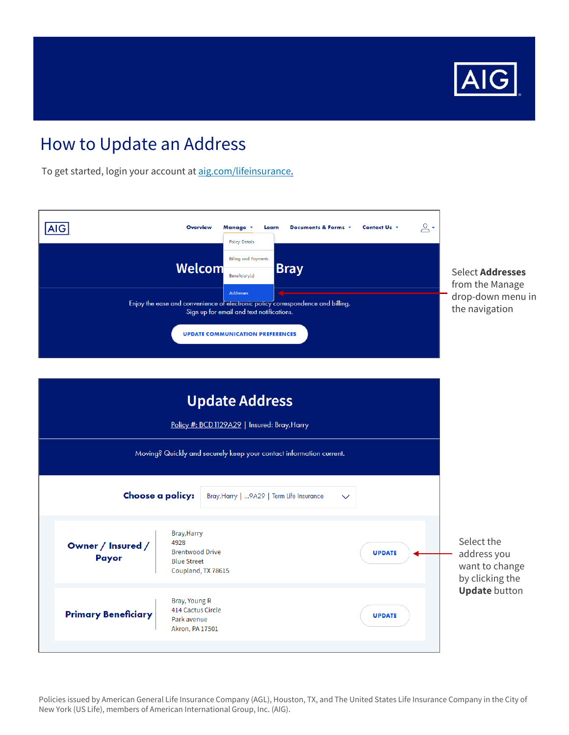

## How to Update an Address

To get started, login your account at [aig.com/lifeinsurance](https://www.lifeandretirement.aig.com/individuals/life).



Policies issued by American General Life Insurance Company (AGL), Houston, TX, and The United States Life Insurance Company in the City of New York (US Life), members of American International Group, Inc. (AIG).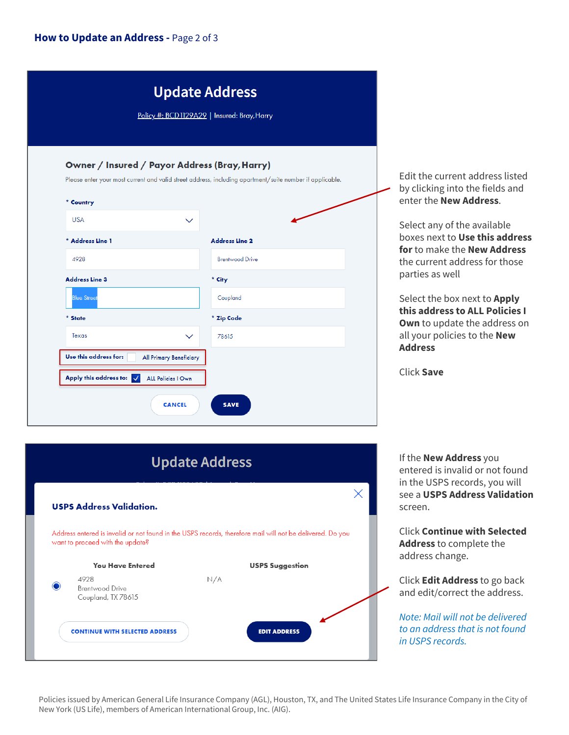## **How to Update an Address -** Page 2 of 3

|                          | <b>Update Address</b><br>Policy #: BCD1129A29   Insured: Bray, Harry                                                                                                      |                                                                                                      |
|--------------------------|---------------------------------------------------------------------------------------------------------------------------------------------------------------------------|------------------------------------------------------------------------------------------------------|
| * Country<br><b>USA</b>  | Owner / Insured / Payor Address (Bray, Harry)<br>Please enter your most current and valid street address, including apartment/suite number if applicable.<br>$\checkmark$ | Edit the current address listed<br>by clicking into the fields and<br>enter the <b>New Address</b> . |
| * Address Line 1         | <b>Address Line 2</b>                                                                                                                                                     | Select any of the available<br>boxes next to Use this address                                        |
| 4928                     | <b>Brentwood Drive</b>                                                                                                                                                    | for to make the New Address<br>the current address for those                                         |
| <b>Address Line 3</b>    | * City                                                                                                                                                                    | parties as well                                                                                      |
| <b>Blue Street</b>       | Coupland                                                                                                                                                                  | Select the box next to Apply                                                                         |
| * State                  | * Zip Code                                                                                                                                                                | this address to ALL Policies I<br><b>Own</b> to update the address on                                |
| Texas                    | 78615<br>$\checkmark$                                                                                                                                                     | all your policies to the New                                                                         |
| Use this address for:    | All Primary Beneficiary                                                                                                                                                   | <b>Address</b>                                                                                       |
| Apply this address to: V | <b>ALL Policies   Own</b>                                                                                                                                                 | <b>Click Save</b>                                                                                    |
|                          | <b>CANCEL</b><br><b>SAVE</b>                                                                                                                                              |                                                                                                      |



If the **New Address** you entered is invalid or not found in the USPS records, you will see a **USPS Address Validation**  screen.

Click **Continue with Selected Address** to complete the address change.

Click **Edit Address** to go back and edit/correct the address.

*Note: Mail will not be delivered to an address that is not found in USPS records.* 

Policies issued by American General Life Insurance Company (AGL), Houston, TX, and The United States Life Insurance Company in the City of New York (US Life), members of American International Group, Inc. (AIG).